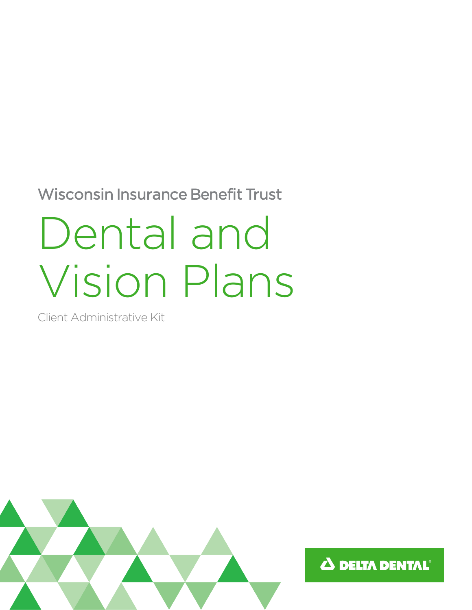Wisconsin Insurance Benefit Trust

# Dental and Vision Plans

Client Administrative Kit



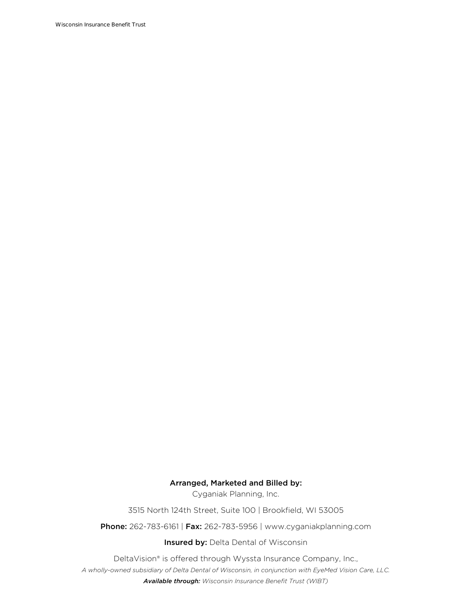Wisconsin Insurance Benefit Trust

#### Arranged, Marketed and Billed by:

Cyganiak Planning, Inc.

3515 North 124th Street, Suite 100 | Brookfield, WI 53005

Phone: 262-783-6161 | Fax: 262-783-5956 | www.cyganiakplanning.com

**Insured by: Delta Dental of Wisconsin** 

DeltaVision® is offered through Wyssta Insurance Company, Inc.,

*A wholly-owned subsidiary of Delta Dental of Wisconsin, in conjunction with EyeMed Vision Care, LLC.* 

*Available through: Wisconsin Insurance Benefit Trust (WIBT)*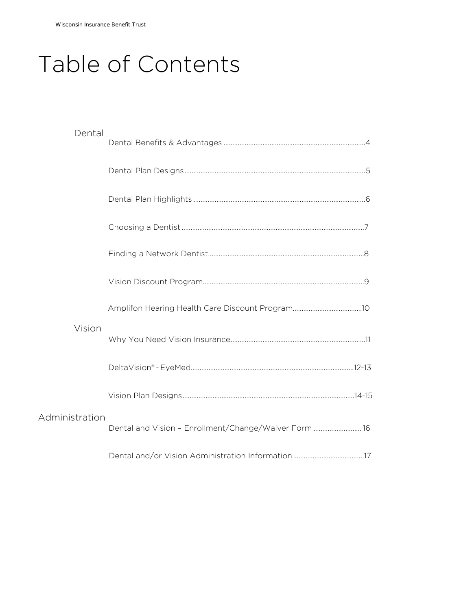# Table of Contents

| Dental         |                                                       |  |
|----------------|-------------------------------------------------------|--|
|                |                                                       |  |
|                |                                                       |  |
|                |                                                       |  |
|                |                                                       |  |
|                |                                                       |  |
|                |                                                       |  |
| Vision         |                                                       |  |
|                |                                                       |  |
|                |                                                       |  |
| Administration | Dental and Vision - Enrollment/Change/Waiver Form  16 |  |
|                |                                                       |  |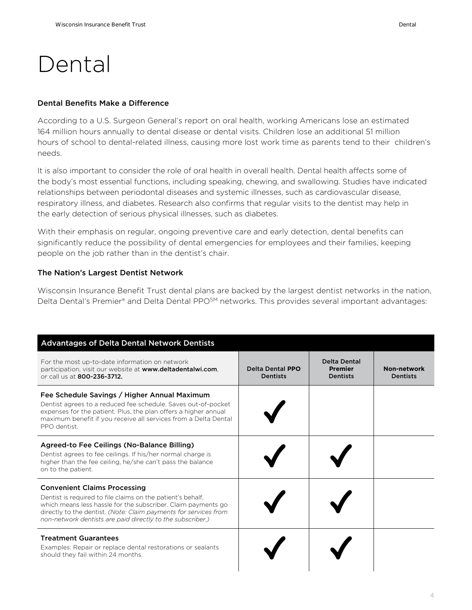### Dental

#### Dental Benefits Make a Difference

According to a U.S. Surgeon General's report on oral health, working Americans lose an estimated 164 million hours annually to dental disease or dental visits. Children lose an additional 51 million hours of school to dental-related illness, causing more lost work time as parents tend to their children's needs.

It is also important to consider the role of oral health in overall health. Dental health affects some of the body's most essential functions, including speaking, chewing, and swallowing. Studies have indicated relationships between periodontal diseases and systemic illnesses, such as cardiovascular disease, respiratory illness, and diabetes. Research also confirms that regular visits to the dentist may help in the early detection of serious physical illnesses, such as diabetes.

With their emphasis on regular, ongoing preventive care and early detection, dental benefits can significantly reduce the possibility of dental emergencies for employees and their families, keeping people on the job rather than in the dentist's chair.

#### The Nation's Largest Dentist Network

Wisconsin Insurance Benefit Trust dental plans are backed by the largest dentist networks in the nation, Delta Dental's Premier® and Delta Dental PPO<sup>SM</sup> networks. This provides several important advantages:

| <b>Advantages of Delta Dental Network Dentists</b>                                                                                                                                                                                                                                                    |                                            |                                                          |                                |
|-------------------------------------------------------------------------------------------------------------------------------------------------------------------------------------------------------------------------------------------------------------------------------------------------------|--------------------------------------------|----------------------------------------------------------|--------------------------------|
| For the most up-to-date information on network<br>participation, visit our website at www.deltadentalwi.com,<br>or call us at 800-236-3712.                                                                                                                                                           | <b>Delta Dental PPO</b><br><b>Dentists</b> | <b>Delta Dental</b><br><b>Premier</b><br><b>Dentists</b> | Non-network<br><b>Dentists</b> |
| Fee Schedule Savings / Higher Annual Maximum<br>Dentist agrees to a reduced fee schedule. Saves out-of-pocket<br>expenses for the patient. Plus, the plan offers a higher annual<br>maximum benefit if you receive all services from a Delta Dental<br>PPO dentist.                                   |                                            |                                                          |                                |
| Agreed-to Fee Ceilings (No-Balance Billing)<br>Dentist agrees to fee ceilings. If his/her normal charge is<br>higher than the fee ceiling, he/she can't pass the balance<br>on to the patient.                                                                                                        |                                            |                                                          |                                |
| <b>Convenient Claims Processing</b><br>Dentist is required to file claims on the patient's behalf.<br>which means less hassle for the subscriber. Claim payments go<br>directly to the dentist. (Note: Claim payments for services from<br>non-network dentists are paid directly to the subscriber.) |                                            |                                                          |                                |
| <b>Treatment Guarantees</b><br>Examples: Repair or replace dental restorations or sealants<br>should they fail within 24 months.                                                                                                                                                                      |                                            |                                                          |                                |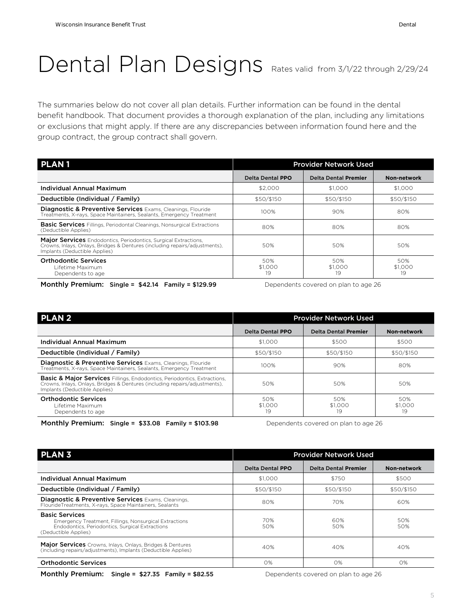### Dental Plan Designs Rates valid from 3/1/22 through 2/29/24

The summaries below do not cover all plan details. Further information can be found in the dental benefit handbook. That document provides a thorough explanation of the plan, including any limitations or exclusions that might apply. If there are any discrepancies between information found here and the group contract, the group contract shall govern.

| <b>PLAN1</b>                                                                                                                                                                           | <b>Provider Network Used</b> |                             |                      |
|----------------------------------------------------------------------------------------------------------------------------------------------------------------------------------------|------------------------------|-----------------------------|----------------------|
|                                                                                                                                                                                        | Delta Dental PPO             | <b>Delta Dental Premier</b> | Non-network          |
| Individual Annual Maximum                                                                                                                                                              | \$2,000                      | \$1,000                     | \$1,000              |
| Deductible (Individual / Family)                                                                                                                                                       | \$50/\$150                   | \$50/\$150                  | \$50/\$150           |
| <b>Diagnostic &amp; Preventive Services</b> Exams, Cleanings, Flouride<br>Treatments, X-rays, Space Maintainers, Sealants, Emergency Treatment                                         | 100%                         | 90%                         | 80%                  |
| <b>Basic Services</b> Fillings, Periodontal Cleanings, Nonsurgical Extractions<br>(Deductible Applies)                                                                                 | 80%                          | 80%                         | 80%                  |
| <b>Major Services</b> Endodontics, Periodontics, Surgical Extractions,<br>Crowns, Inlays, Onlays, Bridges & Dentures (including repairs/adjustments),<br>Implants (Deductible Applies) | 50%                          | 50%                         | 50%                  |
| <b>Orthodontic Services</b><br>Lifetime Maximum<br>Dependents to age                                                                                                                   | 50%<br>\$1,000<br>19         | 50%<br>\$1,000<br>19        | 50%<br>\$1,000<br>19 |

Monthly Premium: Single = \$42.14 Family = \$129.99 Dependents covered on plan to age 26

| <b>PLAN2</b>                                                                                                                                                                                        | <b>Provider Network Used</b> |                             |                      |
|-----------------------------------------------------------------------------------------------------------------------------------------------------------------------------------------------------|------------------------------|-----------------------------|----------------------|
|                                                                                                                                                                                                     | Delta Dental PPO             | <b>Delta Dental Premier</b> | Non-network          |
| Individual Annual Maximum                                                                                                                                                                           | \$1,000                      | \$500                       | \$500                |
| Deductible (Individual / Family)                                                                                                                                                                    | \$50/\$150                   | \$50/\$150                  | \$50/\$150           |
| <b>Diagnostic &amp; Preventive Services</b> Exams, Cleanings, Flouride<br>Treatments, X-rays, Space Maintainers, Sealants, Emergency Treatment                                                      | 100%                         | 90%                         | 80%                  |
| <b>Basic &amp; Major Services</b> Fillings, Endodontics, Periodontics, Extractions,<br>Crowns, Inlays, Onlays, Bridges & Dentures (including repairs/adjustments),<br>Implants (Deductible Applies) | 50%                          | 50%                         | 50%                  |
| <b>Orthodontic Services</b><br>Lifetime Maximum<br>Dependents to age                                                                                                                                | 50%<br>\$1,000<br>19         | 50%<br>\$1,000<br>19        | 50%<br>\$1,000<br>19 |

Monthly Premium: Single = \$33.08 Family = \$103.98 Dependents covered on plan to age 26

| <b>PLAN 3</b>                                                                                                                                              | <b>Provider Network Used</b> |                             |             |  |
|------------------------------------------------------------------------------------------------------------------------------------------------------------|------------------------------|-----------------------------|-------------|--|
|                                                                                                                                                            | <b>Delta Dental PPO</b>      | <b>Delta Dental Premier</b> | Non-network |  |
| Individual Annual Maximum                                                                                                                                  | \$1,000                      | \$750                       | \$500       |  |
| Deductible (Individual / Family)                                                                                                                           | \$50/\$150                   | \$50/\$150                  | \$50/\$150  |  |
| <b>Diagnostic &amp; Preventive Services Exams, Cleanings,</b><br>FlourideTreatments, X-rays, Space Maintainers, Sealants                                   | 80%                          | 70%                         | 60%         |  |
| <b>Basic Services</b><br>Emergency Treatment, Fillings, Nonsurgical Extractions<br>Endodontics, Periodontics, Surgical Extractions<br>(Deductible Applies) | 70%<br>50%                   | 60%<br>50%                  | 50%<br>50%  |  |
| Major Services Crowns, Inlays, Onlays, Bridges & Dentures<br>(including repairs/adjustments), Implants (Deductible Applies)                                | 40%                          | 40%                         | 40%         |  |
| <b>Orthodontic Services</b>                                                                                                                                | 0%                           | O%                          | 0%          |  |

Monthly Premium: Single = \$27.35 Family = \$82.55 Dependents covered on plan to age 26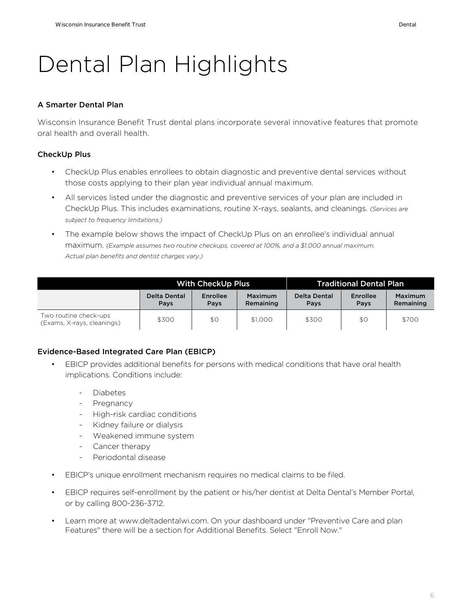#### A Smarter Dental Plan

Wisconsin Insurance Benefit Trust dental plans incorporate several innovative features that promote oral health and overall health.

#### CheckUp Plus

- CheckUp Plus enables enrollees to obtain diagnostic and preventive dental services without those costs applying to their plan year individual annual maximum.
- All services listed under the diagnostic and preventive services of your plan are included in CheckUp Plus. This includes examinations, routine X-rays, sealants, and cleanings. *(Services are subject to frequency limitations.)*
- The example below shows the impact of CheckUp Plus on an enrollee's individual annual maximum. *(Example assumes two routine checkups, covered at 100%, and a \$1,000 annual maximum. Actual plan benefits and dentist charges vary.)*

|                                                     | <b>With CheckUp Plus</b> |                  |                                    |                      | <b>Traditional Dental Plan</b> |                      |
|-----------------------------------------------------|--------------------------|------------------|------------------------------------|----------------------|--------------------------------|----------------------|
|                                                     | Delta Dental<br>Pays     | Enrollee<br>Pays | <b>Maximum</b><br><b>Remaining</b> | Delta Dental<br>Pavs | Enrollee<br>Pays               | Maximum<br>Remaining |
| Two routine check-ups<br>(Exams, X-rays, cleanings) | \$300                    | \$0              | \$1,000                            | \$300                | \$0                            | \$700                |

#### Evidence-Based Integrated Care Plan (EBICP)

- EBICP provides additional benefits for persons with medical conditions that have oral health implications. Conditions include:
	- Diabetes
	- Pregnancy
	- High-risk cardiac conditions
	- Kidney failure or dialysis
	- Weakened immune system
	- Cancer therapy
	- Periodontal disease
- EBICP's unique enrollment mechanism requires no medical claims to be filed.
- EBICP requires self-enrollment by the patient or his/her dentist at Delta Dental's Member Portal, or by calling 800-236-3712.
- Learn more at www.deltadentalwi.com. On your dashboard under "Preventive Care and plan Features" there will be a section for Additional Benefits. Select "Enroll Now."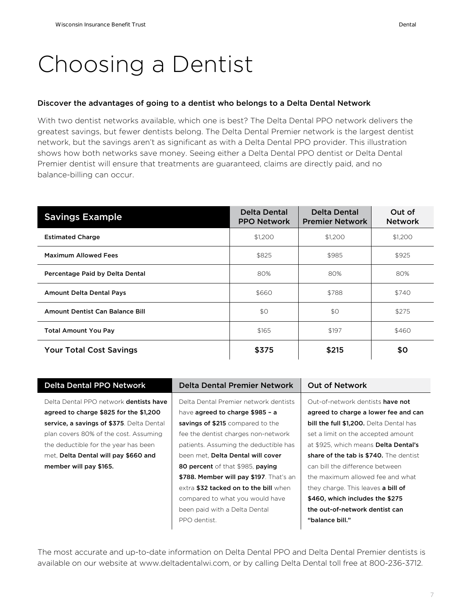### Choosing a Dentist

#### Discover the advantages of going to a dentist who belongs to a Delta Dental Network

With two dentist networks available, which one is best? The Delta Dental PPO network delivers the greatest savings, but fewer dentists belong. The Delta Dental Premier network is the largest dentist network, but the savings aren't as significant as with a Delta Dental PPO provider. This illustration shows how both networks save money. Seeing either a Delta Dental PPO dentist or Delta Dental Premier dentist will ensure that treatments are guaranteed, claims are directly paid, and no balance-billing can occur.

| <b>Savings Example</b>          | <b>Delta Dental</b><br><b>PPO Network</b> | <b>Delta Dental</b><br><b>Premier Network</b> | Out of<br><b>Network</b> |
|---------------------------------|-------------------------------------------|-----------------------------------------------|--------------------------|
| <b>Estimated Charge</b>         | \$1,200                                   | \$1,200                                       | \$1,200                  |
| <b>Maximum Allowed Fees</b>     | \$825                                     | \$985                                         | \$925                    |
| Percentage Paid by Delta Dental | 80%                                       | 80%                                           | 80%                      |
| <b>Amount Delta Dental Pays</b> | \$660                                     | \$788                                         | \$740                    |
| Amount Dentist Can Balance Bill | \$0                                       | \$0                                           | \$275                    |
| <b>Total Amount You Pay</b>     | \$165                                     | \$197                                         | \$460                    |
| <b>Your Total Cost Savings</b>  | \$375                                     | \$215                                         | \$0                      |

| <b>Delta Dental PPO Network</b>               | Delta Dental Premier Network            | <b>Out of Network</b>                       |
|-----------------------------------------------|-----------------------------------------|---------------------------------------------|
| Delta Dental PPO network <b>dentists have</b> | Delta Dental Premier network dentists   | Out-of-network dentists have not            |
| agreed to charge \$825 for the \$1,200        | have <b>agreed to charge \$985 - a</b>  | agreed to charge a lower fee and can        |
| service, a savings of \$375. Delta Dental     | savings of \$215 compared to the        | bill the full \$1,200. Delta Dental has     |
| plan covers 80% of the cost. Assuming         | fee the dentist charges non-network     | set a limit on the accepted amount          |
| the deductible for the year has been          | patients. Assuming the deductible has   | at \$925, which means <b>Delta Dental's</b> |
| met, Delta Dental will pay \$660 and          | been met. Delta Dental will cover       | share of the tab is \$740. The dentist      |
| member will pay \$165.                        | 80 percent of that \$985, paying        | can bill the difference between             |
|                                               | \$788. Member will pay \$197. That's an | the maximum allowed fee and what            |
|                                               | extra \$32 tacked on to the bill when   | they charge. This leaves <b>a bill of</b>   |
|                                               | compared to what you would have         | \$460, which includes the \$275             |
|                                               | been paid with a Delta Dental           | the out-of-network dentist can              |
|                                               | PPO dentist.                            | "balance bill."                             |
|                                               |                                         |                                             |

The most accurate and up-to-date information on Delta Dental PPO and Delta Dental Premier dentists is available on our website at www.deltadentalwi.com, or by calling Delta Dental toll free at 800-236-3712.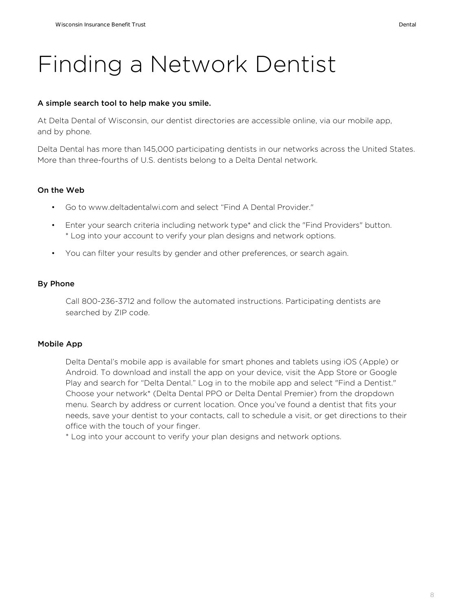### Finding a Network Dentist

#### A simple search tool to help make you smile.

At Delta Dental of Wisconsin, our dentist directories are accessible online, via our mobile app, and by phone.

Delta Dental has more than 145,000 participating dentists in our networks across the United States. More than three-fourths of U.S. dentists belong to a Delta Dental network.

#### On the Web

- Go to www.deltadentalwi.com and select "Find A Dental Provider."
- Enter your search criteria including network type\* and click the "Find Providers" button. \* Log into your account to verify your plan designs and network options.
- You can filter your results by gender and other preferences, or search again.

#### By Phone

Call 800-236-3712 and follow the automated instructions. Participating dentists are searched by ZIP code.

#### Mobile App

Delta Dental's mobile app is available for smart phones and tablets using iOS (Apple) or Android. To download and install the app on your device, visit the App Store or Google Play and search for "Delta Dental." Log in to the mobile app and select "Find a Dentist." Choose your network\* (Delta Dental PPO or Delta Dental Premier) from the dropdown menu. Search by address or current location. Once you've found a dentist that fits your needs, save your dentist to your contacts, call to schedule a visit, or get directions to their office with the touch of your finger.

\* Log into your account to verify your plan designs and network options.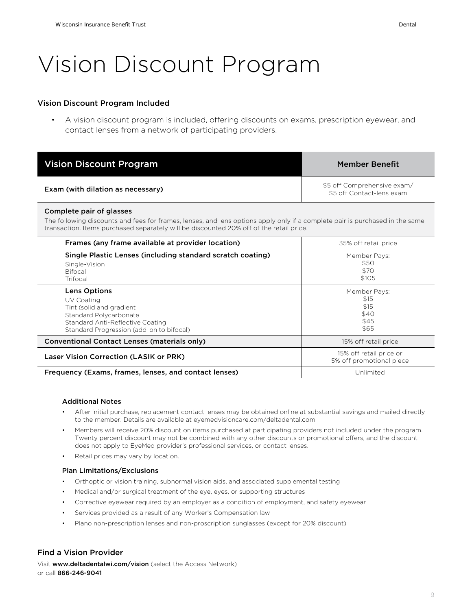### Vision Discount Program

#### Vision Discount Program Included

• A vision discount program is included, offering discounts on exams, prescription eyewear, and contact lenses from a network of participating providers.

| <b>Vision Discount Program</b>    | <b>Member Benefit</b>                                    |
|-----------------------------------|----------------------------------------------------------|
| Exam (with dilation as necessary) | \$5 off Comprehensive exam/<br>\$5 off Contact-lens exam |

#### Complete pair of glasses

The following discounts and fees for frames, lenses, and lens options apply only if a complete pair is purchased in the same transaction. Items purchased separately will be discounted 20% off of the retail price.

| Frames (any frame available at provider location)                                                                                                                       | 35% off retail price                                 |
|-------------------------------------------------------------------------------------------------------------------------------------------------------------------------|------------------------------------------------------|
| Single Plastic Lenses (including standard scratch coating)<br>Single-Vision<br><b>Bifocal</b><br>Trifocal                                                               | Member Pays:<br>\$50<br>\$70<br>\$105                |
| <b>Lens Options</b><br>UV Coating<br>Tint (solid and gradient<br>Standard Polycarbonate<br>Standard Anti-Reflective Coating<br>Standard Progression (add-on to bifocal) | Member Pays:<br>\$15<br>\$15<br>\$40<br>\$45<br>\$65 |
| Conventional Contact Lenses (materials only)                                                                                                                            | 15% off retail price                                 |
| Laser Vision Correction (LASIK or PRK)                                                                                                                                  | 15% off retail price or<br>5% off promotional piece  |
| Frequency (Exams, frames, lenses, and contact lenses)                                                                                                                   | Unlimited                                            |

#### Additional Notes

- After initial purchase, replacement contact lenses may be obtained online at substantial savings and mailed directly to the member. Details are available at eyemedvisioncare.com/deltadental.com.
- Members will receive 20% discount on items purchased at participating providers not included under the program. Twenty percent discount may not be combined with any other discounts or promotional offers, and the discount does not apply to EyeMed provider's professional services, or contact lenses.
- Retail prices may vary by location.

#### Plan Limitations/Exclusions

- Orthoptic or vision training, subnormal vision aids, and associated supplemental testing
- Medical and/or surgical treatment of the eye, eyes, or supporting structures
- Corrective eyewear required by an employer as a condition of employment, and safety eyewear
- Services provided as a result of any Worker's Compensation law
- Plano non-prescription lenses and non-proscription sunglasses (except for 20% discount)

#### Find a Vision Provider

Visit www.deltadentalwi.com/vision (select the Access Network) or call 866-246-9041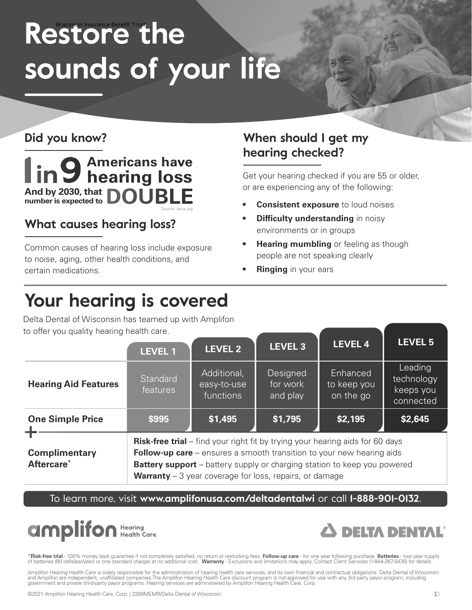# Restore the **sounds of your life**

### **Did you know?**



### **What causes hearing loss?**

Common causes of hearing loss include exposure to noise, aging, other health conditions, and certain medications.

### **When should I get my hearing checked?**

Get your hearing checked if you are 55 or older, or are experiencing any of the following:

- **Consistent exposure** to loud noises
- **Difficulty understanding** in noisy environments or in groups
- **Hearing mumbling** or feeling as though people are not speaking clearly
- **Ringing** in your ears

### **Your hearing is covered**

Delta Dental of Wisconsin has teamed up with Amplifon to offer you quality hearing health care.

| to onor you quanty nouring nourth carol        | <b>LEVEL 1</b>                                                                                                                                                                                                                                                                                                               | <b>LEVEL 2</b>                          | <b>LEVEL 3</b>                   | <b>LEVEL 4</b>                       | <b>LEVEL 5</b>                                  |
|------------------------------------------------|------------------------------------------------------------------------------------------------------------------------------------------------------------------------------------------------------------------------------------------------------------------------------------------------------------------------------|-----------------------------------------|----------------------------------|--------------------------------------|-------------------------------------------------|
| <b>Hearing Aid Features</b>                    | Standard<br>features                                                                                                                                                                                                                                                                                                         | Additional,<br>easy-to-use<br>functions | Designed<br>for work<br>and play | Enhanced<br>to keep you<br>on the go | Leading<br>technology<br>keeps you<br>connected |
| <b>One Simple Price</b>                        | \$995                                                                                                                                                                                                                                                                                                                        | \$1,495                                 | \$1,795                          | \$2,195                              | \$2,645                                         |
| <b>Complimentary</b><br>Aftercare <sup>*</sup> | <b>Risk-free trial</b> – find your right fit by trying your hearing aids for 60 days<br><b>Follow-up care</b> $-$ ensures a smooth transition to your new hearing aids<br><b>Battery support</b> – battery supply or charging station to keep you powered<br><b>Warranty</b> $-3$ year coverage for loss, repairs, or damage |                                         |                                  |                                      |                                                 |

To learn more, visit **www.amplifonusa.com/deltadentalwi** or call **1-888-901-0132**.





\***Risk-free trial** - 100% money back guarantee if not completely satisfied, no return or restocking fees. **Follow-up care** - for one year following purchase. **Batteries** - two year supply<br>of batteries (80 cells/ear/year) o

Amplifon Hearing Health Care is solely responsible for the administration of hearing health care services, and its own financial and contractual obligations. Delta Dental of Wisconsin<br>and Amplifon are independent, unaffili government and private third-party payor programs. Hearing services are administered by Amplifon Hearing Health Care, Corp.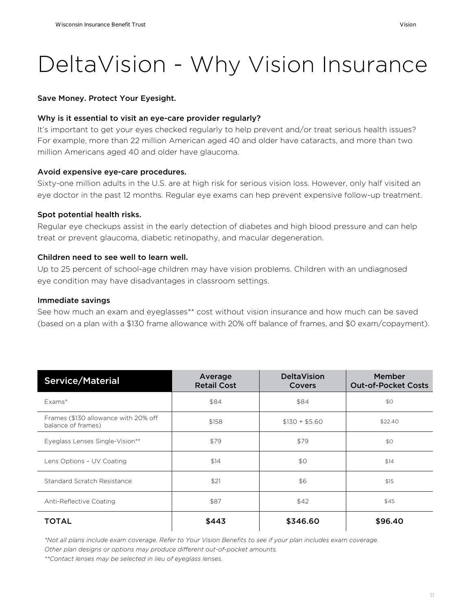# DeltaVision - Why Vision Insurance

#### Save Money. Protect Your Eyesight.

#### Why is it essential to visit an eye-care provider regularly?

It's important to get your eyes checked regularly to help prevent and/or treat serious health issues? For example, more than 22 million American aged 40 and older have cataracts, and more than two million Americans aged 40 and older have glaucoma.

#### Avoid expensive eye-care procedures.

Sixty-one million adults in the U.S. are at high risk for serious vision loss. However, only half visited an eye doctor in the past 12 months. Regular eye exams can hep prevent expensive follow-up treatment.

#### Spot potential health risks.

Regular eye checkups assist in the early detection of diabetes and high blood pressure and can help treat or prevent glaucoma, diabetic retinopathy, and macular degeneration.

#### Children need to see well to learn well.

Up to 25 percent of school-age children may have vision problems. Children with an undiagnosed eye condition may have disadvantages in classroom settings.

#### Immediate savings

See how much an exam and eyeglasses\*\* cost without vision insurance and how much can be saved (based on a plan with a \$130 frame allowance with 20% off balance of frames, and \$0 exam/copayment).

| Service/Material                                           | Average<br><b>Retail Cost</b> | <b>DeltaVision</b><br>Covers | Member<br><b>Out-of-Pocket Costs</b> |
|------------------------------------------------------------|-------------------------------|------------------------------|--------------------------------------|
| Fxams*                                                     | \$84                          | \$84                         | \$0                                  |
| Frames (\$130 allowance with 20% off<br>balance of frames) | \$158                         | $$130 + $5.60$               | \$22.40                              |
| Eyeglass Lenses Single-Vision**                            | \$79                          | \$79                         | \$0                                  |
| Lens Options - UV Coating                                  | \$14                          | \$0                          | \$14                                 |
| Standard Scratch Resistance                                | \$21                          | \$6                          | \$15                                 |
| Anti-Reflective Coating                                    | \$87                          | \$42                         | \$45                                 |
| <b>TOTAL</b>                                               | \$443                         | \$346.60                     | \$96.40                              |

*\*Not all plans include exam coverage. Refer to Your Vision Benefits to see if your plan includes exam coverage. Other plan designs or options may produce different out-of-pocket amounts.*

*\*\*Contact lenses may be selected in lieu of eyeglass lenses.*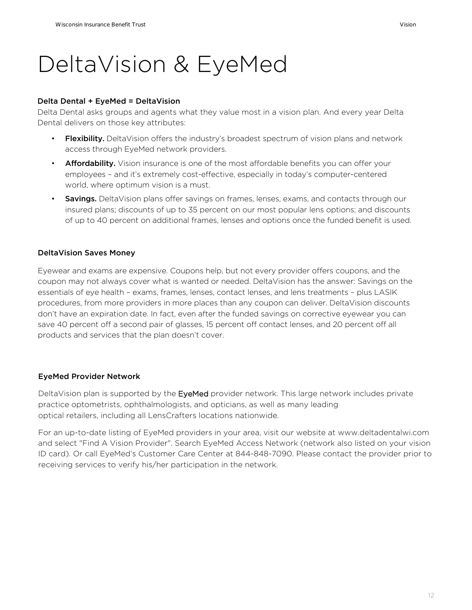### DeltaVision & EyeMed

#### Delta Dental + EyeMed = DeltaVision

Delta Dental asks groups and agents what they value most in a vision plan. And every year Delta Dental delivers on those key attributes:

- Flexibility. DeltaVision offers the industry's broadest spectrum of vision plans and network access through EyeMed network providers.
- Affordability. Vision insurance is one of the most affordable benefits you can offer your employees – and it's extremely cost-effective, especially in today's computer-centered world, where optimum vision is a must.
- Savings. DeltaVision plans offer savings on frames, lenses, exams, and contacts through our insured plans; discounts of up to 35 percent on our most popular lens options; and discounts of up to 40 percent on additional frames, lenses and options once the funded benefit is used.

#### DeltaVision Saves Money

Eyewear and exams are expensive. Coupons help, but not every provider offers coupons, and the coupon may not always cover what is wanted or needed. DeltaVision has the answer: Savings on the essentials of eye health – exams, frames, lenses, contact lenses, and lens treatments – plus LASIK procedures, from more providers in more places than any coupon can deliver. DeltaVision discounts don't have an expiration date. In fact, even after the funded savings on corrective eyewear you can save 40 percent off a second pair of glasses, 15 percent off contact lenses, and 20 percent off all products and services that the plan doesn't cover.

#### EyeMed Provider Network

DeltaVision plan is supported by the EyeMed provider network. This large network includes private practice optometrists, ophthalmologists, and opticians, as well as many leading optical retailers, including all LensCrafters locations nationwide.

For an up-to-date listing of EyeMed providers in your area, visit our website at www.deltadentalwi.com and select "Find A Vision Provider". Search EyeMed Access Network (network also listed on your vision ID card). Or call EyeMed's Customer Care Center at 844-848-7090. Please contact the provider prior to receiving services to verify his/her participation in the network.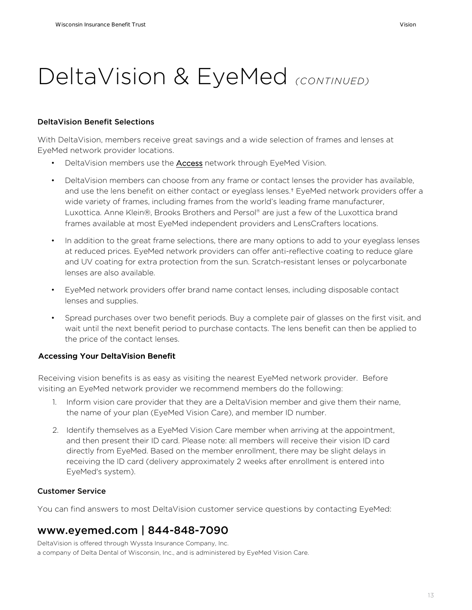### DeltaVision & EyeMed *(CONTINUED)*

#### DeltaVision Benefit Selections

With DeltaVision, members receive great savings and a wide selection of frames and lenses at EyeMed network provider locations.

- DeltaVision members use the Access network through EyeMed Vision.
- DeltaVision members can choose from any frame or contact lenses the provider has available, and use the lens benefit on either contact or eyeglass lenses.<sup>†</sup> EyeMed network providers offer a wide variety of frames, including frames from the world's leading frame manufacturer, Luxottica. Anne Klein®, Brooks Brothers and Persol® are just a few of the Luxottica brand frames available at most EyeMed independent providers and LensCrafters locations.
- In addition to the great frame selections, there are many options to add to your eyeglass lenses at reduced prices. EyeMed network providers can offer anti-reflective coating to reduce glare and UV coating for extra protection from the sun. Scratch-resistant lenses or polycarbonate lenses are also available.
- EyeMed network providers offer brand name contact lenses, including disposable contact lenses and supplies.
- Spread purchases over two benefit periods. Buy a complete pair of glasses on the first visit, and wait until the next benefit period to purchase contacts. The lens benefit can then be applied to the price of the contact lenses.

#### Accessing Your DeltaVision Benefit

Receiving vision benefits is as easy as visiting the nearest EyeMed network provider. Before visiting an EyeMed network provider we recommend members do the following:

- 1. Inform vision care provider that they are a DeltaVision member and give them their name, the name of your plan (EyeMed Vision Care), and member ID number.
- 2. Identify themselves as a EyeMed Vision Care member when arriving at the appointment, and then present their ID card. Please note: all members will receive their vision ID card directly from EyeMed. Based on the member enrollment, there may be slight delays in receiving the ID card (delivery approximately 2 weeks after enrollment is entered into EyeMed's system).

#### Customer Service

You can find answers to most DeltaVision customer service questions by contacting EyeMed:

### www.eyemed.com | 844-848-7090

DeltaVision is offered through Wyssta Insurance Company, Inc. a company of Delta Dental of Wisconsin, Inc., and is administered by EyeMed Vision Care.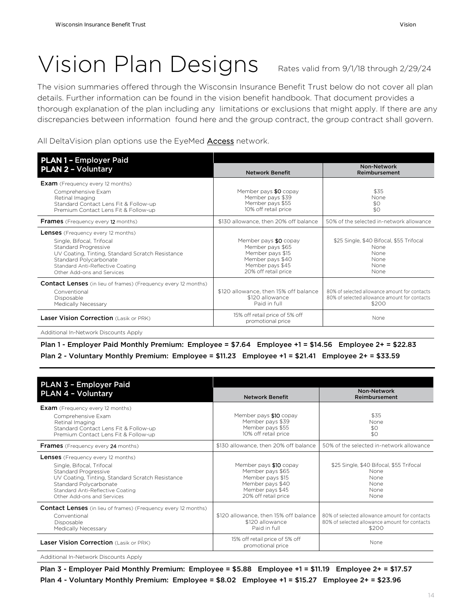# Vision Plan Designs Rates valid from 9/1/18 through 2/29/24

The vision summaries offered through the Wisconsin Insurance Benefit Trust below do not cover all plan details. Further information can be found in the vision benefit handbook. That document provides a thorough explanation of the plan including any limitations or exclusions that might apply. If there are any discrepancies between information found here and the group contract, the group contract shall govern.

All DeltaVision plan options use the EyeMed **Access** network.

| <b>PLAN 1 - Employer Paid</b>                                                                                                                                                                                                                  |                                                                                                                               |                                                                                                         |  |  |
|------------------------------------------------------------------------------------------------------------------------------------------------------------------------------------------------------------------------------------------------|-------------------------------------------------------------------------------------------------------------------------------|---------------------------------------------------------------------------------------------------------|--|--|
| <b>PLAN 2 - Voluntary</b>                                                                                                                                                                                                                      | <b>Network Benefit</b>                                                                                                        | Non-Network<br>Reimbursement                                                                            |  |  |
| <b>Exam</b> (Frequency every 12 months)<br>Comprehensive Exam<br>Retinal Imaging<br>Standard Contact Lens Fit & Follow-up<br>Premium Contact Lens Fit & Follow-up                                                                              | Member pays \$0 copay<br>Member pays \$39<br>Member pays \$55<br>10% off retail price                                         |                                                                                                         |  |  |
| <b>Frames</b> (Frequency every 12 months)                                                                                                                                                                                                      | \$130 allowance, then 20% off balance                                                                                         | 50% of the selected in-network allowance                                                                |  |  |
| <b>Lenses</b> (Frequency every 12 months)<br>Single, Bifocal, Trifocal<br>Standard Progressive<br>UV Coating, Tinting, Standard Scratch Resistance<br>Standard Polycarbonate<br>Standard Anti-Reflective Coating<br>Other Add-ons and Services | Member pays \$0 copay<br>Member pays \$65<br>Member pays \$15<br>Member pays \$40<br>Member pays \$45<br>20% off retail price | \$25 Single, \$40 Bifocal, \$55 Trifocal<br>None<br><b>None</b><br><b>None</b><br><b>None</b><br>None   |  |  |
| <b>Contact Lenses</b> (in lieu of frames) (Frequency every 12 months)<br>Conventional<br>Disposable<br>Medically Necessary                                                                                                                     | \$120 allowance, then 15% off balance<br>\$120 allowance<br>Paid in full                                                      | 80% of selected allowance amount for contacts<br>80% of selected allowance amount for contacts<br>\$200 |  |  |
| <b>Laser Vision Correction (Lasik or PRK)</b>                                                                                                                                                                                                  | 15% off retail price of 5% off<br>promotional price                                                                           | None                                                                                                    |  |  |

Additional In-Network Discounts Apply

Plan 1 - Employer Paid Monthly Premium: Employee = \$7.64 Employee +1 = \$14.56 Employee 2+ = \$22.83 Plan 2 - Voluntary Monthly Premium: Employee = \$11.23 Employee +1 = \$21.41 Employee 2+ = \$33.59

| PLAN 3 - Employer Paid<br>PLAN 4 - Voluntary                                                                                                                                                                                                   | <b>Network Benefit</b>                                                                                                         | Non-Network<br>Reimbursement                                                                            |  |  |
|------------------------------------------------------------------------------------------------------------------------------------------------------------------------------------------------------------------------------------------------|--------------------------------------------------------------------------------------------------------------------------------|---------------------------------------------------------------------------------------------------------|--|--|
| <b>Exam</b> (Frequency every 12 months)<br>Comprehensive Exam<br>Retinal Imaging<br>Standard Contact Lens Fit & Follow-up<br>Premium Contact Lens Fit & Follow-up                                                                              | Member pays \$10 copay<br>Member pays \$39<br>Member pays \$55<br>10% off retail price                                         | \$35<br><b>None</b><br>\$0<br>\$0                                                                       |  |  |
| <b>Frames</b> (Frequency every 24 months)                                                                                                                                                                                                      | \$130 allowance, then 20% off balance                                                                                          | 50% of the selected in-network allowance                                                                |  |  |
| <b>Lenses</b> (Frequency every 12 months)<br>Single, Bifocal, Trifocal<br>Standard Progressive<br>UV Coating, Tinting, Standard Scratch Resistance<br>Standard Polycarbonate<br>Standard Anti-Reflective Coating<br>Other Add-ons and Services | Member pays \$10 copay<br>Member pays \$65<br>Member pays \$15<br>Member pays \$40<br>Member pays \$45<br>20% off retail price | \$25 Single, \$40 Bifocal, \$55 Trifocal<br>None<br><b>None</b><br><b>None</b><br>None<br>None          |  |  |
| <b>Contact Lenses</b> (in lieu of frames) (Frequency every 12 months)<br>Conventional<br>Disposable<br>Medically Necessary                                                                                                                     | \$120 allowance, then 15% off balance<br>\$120 allowance<br>Paid in full                                                       | 80% of selected allowance amount for contacts<br>80% of selected allowance amount for contacts<br>\$200 |  |  |
| Laser Vision Correction (Lasik or PRK)                                                                                                                                                                                                         | 15% off retail price of 5% off<br>promotional price                                                                            | <b>None</b>                                                                                             |  |  |

Additional In-Network Discounts Apply

Plan 3 - Employer Paid Monthly Premium: Employee = \$5.88 Employee +1 = \$11.19 Employee 2+ = \$17.57 Plan 4 - Voluntary Monthly Premium: Employee = \$8.02 Employee +1 = \$15.27 Employee 2+ = \$23.96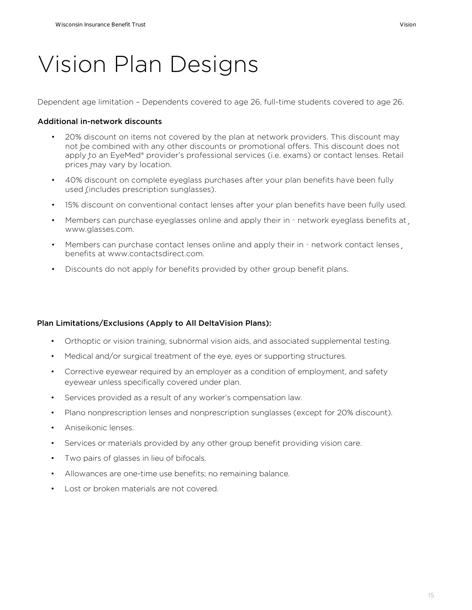# Vision Plan Designs

Dependent age limitation – Dependents covered to age 26, full-time students covered to age 26.

#### Additional in-network discounts

- 20% discount on items not covered by the plan at network providers. This discount may not be combined with any other discounts or promotional offers. This discount does not apply to an EyeMed® provider's professional services (i.e. exams) or contact lenses. Retail prices may vary by location.
- 40% discount on complete eyeglass purchases after your plan benefits have been fully used (includes prescription sunglasses).
- 15% discount on conventional contact lenses after your plan benefits have been fully used.
- Members can purchase eyeglasses online and apply their in network eyeglass benefits at www.glasses.com.
- Members can purchase contact lenses online and apply their in network contact lenses benefits at www.contactsdirect.com.
- Discounts do not apply for benefits provided by other group benefit plans.

#### Plan Limitations/Exclusions (Apply to All DeltaVision Plans):

- Orthoptic or vision training, subnormal vision aids, and associated supplemental testing.
- Medical and/or surgical treatment of the eye, eyes or supporting structures.
- Corrective eyewear required by an employer as a condition of employment, and safety eyewear unless specifically covered under plan.
- Services provided as a result of any worker's compensation law.
- Plano nonprescription lenses and nonprescription sunglasses (except for 20% discount).
- Aniseikonic lenses.
- Services or materials provided by any other group benefit providing vision care.
- Two pairs of glasses in lieu of bifocals.
- Allowances are one-time use benefits; no remaining balance.
- Lost or broken materials are not covered.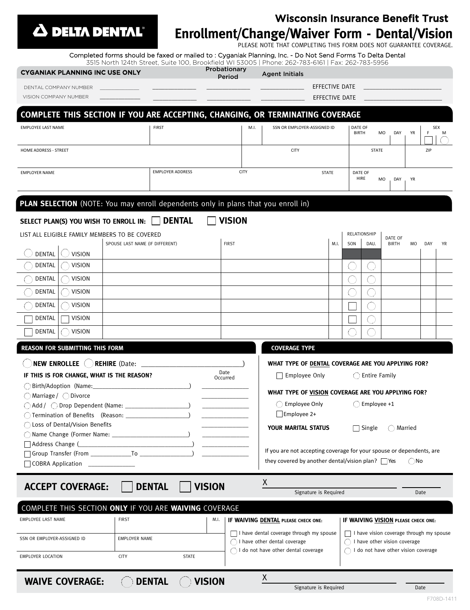

### Trust **Enrollment/Change/Waiver Form - Dental/Vision**

|                                                                                                            |                         |                        |      | <b>Wisconsin Insurance Benefit Trust</b>                                                                                                                              |      |                         |                  |                  |           |     |          |
|------------------------------------------------------------------------------------------------------------|-------------------------|------------------------|------|-----------------------------------------------------------------------------------------------------------------------------------------------------------------------|------|-------------------------|------------------|------------------|-----------|-----|----------|
| <b>A DELTA DENTAL</b> ®                                                                                    |                         |                        |      | <b>Enrollment/Change/Waiver Form - Dental/Visio</b>                                                                                                                   |      |                         |                  |                  |           |     |          |
| Completed forms should be faxed or mailed to : Cyganiak Planning, Inc. - Do Not Send Forms To Delta Dental |                         |                        |      | PLEASE NOTE THAT COMPLETING THIS FORM DOES NOT GUARANTEE COVERAG<br>3515 North 124th Street, Suite 100, Brookfield WI 53005   Phone: 262-783-6161   Fax: 262-783-5956 |      |                         |                  |                  |           |     |          |
| <b>CYGANIAK PLANNING INC USE ONLY</b>                                                                      |                         | Probationary<br>Period |      | <b>Agent Initials</b>                                                                                                                                                 |      |                         |                  |                  |           |     |          |
| DENTAL COMPANY NUMBER                                                                                      |                         |                        |      | EFFECTIVE DATE                                                                                                                                                        |      |                         |                  |                  |           |     |          |
| VISION COMPANY NUMBER                                                                                      |                         |                        |      | EFFECTIVE DATE                                                                                                                                                        |      |                         |                  |                  |           |     |          |
| COMPLETE THIS SECTION IF YOU ARE ACCEPTING, CHANGING, OR TERMINATING COVERAGE                              |                         |                        |      |                                                                                                                                                                       |      |                         |                  |                  |           |     |          |
| <b>EMPLOYEE LAST NAME</b>                                                                                  | <b>FIRST</b>            |                        | M.I. | SSN OR EMPLOYER-ASSIGNED ID                                                                                                                                           |      | DATE OF<br><b>BIRTH</b> |                  | <b>MO</b><br>DAY | YR        | Е   | SEX<br>M |
| HOME ADDRESS - STREET                                                                                      |                         |                        |      | <b>CITY</b>                                                                                                                                                           |      |                         | <b>STATE</b>     |                  |           | ZIP |          |
| <b>EMPLOYER NAME</b>                                                                                       | <b>EMPLOYER ADDRESS</b> | <b>CITY</b>            |      | <b>STATE</b>                                                                                                                                                          |      | DATE OF<br>HIRE         |                  | <b>MO</b><br>DAY | <b>YR</b> |     |          |
| PLAN SELECTION (NOTE: You may enroll dependents only in plans that you enroll in)                          |                         |                        |      |                                                                                                                                                                       |      |                         |                  |                  |           |     |          |
| SELECT PLAN(S) YOU WISH TO ENROLL IN:                                                                      | <b>DENTAL</b>           | <b>VISION</b>          |      |                                                                                                                                                                       |      |                         |                  |                  |           |     |          |
| LIST ALL ELIGIBLE FAMILY MEMBERS TO BE COVERED                                                             |                         |                        |      |                                                                                                                                                                       |      | RELATIONSHIP            |                  | DATE OF          |           |     |          |
| SPOUSE LAST NAME (IF DIFFERENT)<br><b>DENTAL</b><br><b>VISION</b>                                          |                         | <b>FIRST</b>           |      |                                                                                                                                                                       | M.I. | SON                     | DAU.             | <b>BIRTH</b>     | MO        | DAY | YR       |
| DENTAL<br><b>VISION</b>                                                                                    |                         |                        |      |                                                                                                                                                                       |      |                         |                  |                  |           |     |          |
| DENTAL<br><b>VISION</b>                                                                                    |                         |                        |      |                                                                                                                                                                       |      |                         |                  |                  |           |     |          |
| DENTAL<br><b>VISION</b>                                                                                    |                         |                        |      |                                                                                                                                                                       |      |                         |                  |                  |           |     |          |
| <b>DENTAL</b><br><b>VISION</b>                                                                             |                         |                        |      |                                                                                                                                                                       |      |                         |                  |                  |           |     |          |
| DENTAL<br><b>VISION</b>                                                                                    |                         |                        |      |                                                                                                                                                                       |      |                         |                  |                  |           |     |          |
| <b>VISION</b><br>DENTAL                                                                                    |                         |                        |      |                                                                                                                                                                       |      |                         |                  |                  |           |     |          |
| REASON FOR SUBMITTING THIS FORM                                                                            |                         |                        |      | <b>COVERAGE TYPE</b>                                                                                                                                                  |      |                         |                  |                  |           |     |          |
| <b>NEW ENROLLEE</b><br><b>REHIRE</b> (Date:                                                                |                         |                        |      | WHAT TYPE OF DENTAL COVERAGE ARE YOU APPLYING FOR?                                                                                                                    |      |                         |                  |                  |           |     |          |
| IF THIS IS FOR CHANGE, WHAT IS THE REASON?                                                                 |                         | Date<br>Occurred       |      | Emplovee Only                                                                                                                                                         |      |                         | () Entire Family |                  |           |     |          |

**WHAT TYPE OF VISION COVERAGE ARE YOU APPLYING FOR?**

| $\bigcirc$ Employee Only |  |
|--------------------------|--|
| $\Box$ Employee 2+       |  |

**YOUR MARITAL STATUS** 

| $\Box$ Single | $\bigcirc$ Married |
|---------------|--------------------|
|               |                    |

 $\bigcirc$  Employee +1

If you are not accepting coverage for your spouse or dependents, are they covered by another dental/vision plan?  $\Box$  Yes  $\bigcirc$  No

<sup>X</sup> **ACCEPT COVERAGE: DENTAL VISION**

SSN OR EMPLOYER-ASSIGNED ID **EMPLOYER NAME** 

 $\bigcirc$  Birth/Adoption (Name:  $\bigcirc$  Marriage /  $\bigcirc$  Divorce

 $\Box$  Address Change ( $\Box$ 

COBRA Application \_

 $\bigcirc$  Add /  $\bigcirc$  Drop Dependent (Name:  $\_$  $\bigcirc$  Termination of Benefits (Reason: \_ Loss of Dental/Vision Benefits \_\_\_\_\_\_\_\_\_\_\_\_\_\_\_

Name Change (Former Name: \_\_\_\_\_\_\_\_\_\_\_\_\_\_\_\_\_\_\_\_\_\_\_\_\_) \_\_\_\_\_\_\_\_\_\_\_\_\_\_\_

Group Transfer (From \_\_\_\_\_\_\_\_\_\_\_\_\_To \_\_\_\_\_\_\_\_\_\_\_\_\_\_\_\_\_) \_\_\_\_\_\_\_\_\_\_\_\_\_\_\_

EMPLOYEE LAST NAME  $\vert$  FIRST  $\vert$  M.I.

COMPLETE THIS SECTION **ONLY** IF YOU ARE **WAIVING** COVERAGE

**IF WAIVING DENTAL PLEASE CHECK ONE:**

◯ I have other dental coverage ◯ I do not have other dental coverage

X

I have dental coverage through my spouse

| Signature is Required |                                            | Date |
|-----------------------|--------------------------------------------|------|
|                       |                                            |      |
| <b>E CHECK ONE:</b>   | <b>IF WAIVING VISION PLEASE CHECK ONE:</b> |      |

I have vision coverage through my spouse  $\bigcirc$  I have other vision coverage

◯ I do not have other vision coverage

EMPLOYER LOCATION CITY CITY STATE

**WAIVE COVERAGE:**  $\bigcirc$  **DENTAL**  $\bigcirc$  **VISION**  $\frac{X}{S_{\text{isி}}$  **Denotive is Required**  $\qquad \qquad -$  Date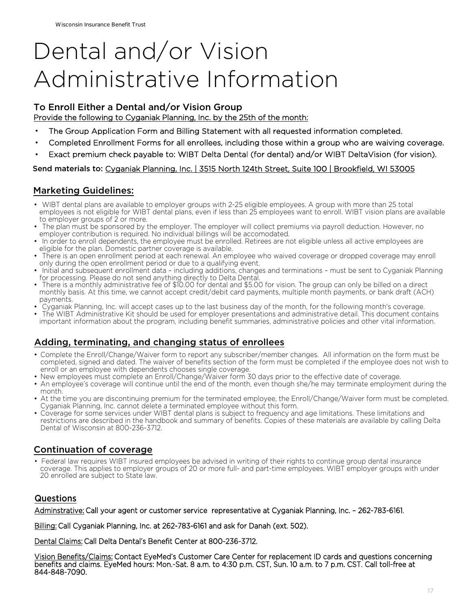# Dental and/or Vision Administrative Information

#### To Enroll Either a Dental and/or Vision Group

Provide the following to Cyganiak Planning, Inc. by the 25th of the month:

- The Group Application Form and Billing Statement with all requested information completed.
- Completed Enrollment Forms for all enrollees, including those within a group who are waiving coverage.
- Exact premium check payable to: WIBT Delta Dental (for dental) and/or WIBT DeltaVision (for vision).

#### Send materials to: Cyganiak Planning, Inc. | 3515 North 124th Street, Suite 100 | Brookfield, WI 53005

#### Marketing Guidelines:

- WIBT dental plans are available to employer groups with 2-25 eligible employees. A group with more than 25 total employees is not eligible for WIBT dental plans, even if less than 25 employees want to enroll. WIBT vision plans are available to employer groups of 2 or more.
- The plan must be sponsored by the employer. The employer will collect premiums via payroll deduction. However, no employer contribution is required. No individual billings will be accomodated.
- In order to enroll dependents, the employee must be enrolled. Retirees are not eligible unless all active employees are eligible for the plan. Domestic partner coverage is available.
- There is an open enrollment period at each renewal. An employee who waived coverage or dropped coverage may enroll only during the open enrollment period or due to a qualifying event.
- Initial and subsequent enrollment data including additions, changes and terminations must be sent to Cyganiak Planning for processing. Please do not send anything directly to Delta Dental.
- There is a monthly administrative fee of \$10.00 for dental and \$5.00 for vision. The group can only be billed on a direct monthly basis. At this time, we cannot accept credit/debit card payments, multiple month payments, or bank draft (ACH) payments.
- Cyganiak Planning, Inc. will accept cases up to the last business day of the month, for the following month's coverage.
- The WIBT Administrative Kit should be used for employer presentations and administrative detail. This document contains important information about the program, including benefit summaries, administrative policies and other vital information.

#### Adding, terminating, and changing status of enrollees

- Complete the Enroll/Change/Waiver form to report any subscriber/member changes. All information on the form must be completed, signed and dated. The waiver of benefits section of the form must be completed if the employee does not wish to enroll or an employee with dependents chooses single coverage.
- New employees must complete an Enroll/Change/Waiver form 30 days prior to the effective date of coverage.
- An employee's coverage will continue until the end of the month, even though she/he may terminate employment during the month.
- At the time you are discontinuing premium for the terminated employee, the Enroll/Change/Waiver form must be completed. Cyganiak Planning, Inc. cannot delete a terminated employee without this form.
- Coverage for some services under WIBT dental plans is subject to frequency and age limitations. These limitations and restrictions are described in the handbook and summary of benefits. Copies of these materials are available by calling Delta Dental of Wisconsin at 800-236-3712.

#### Continuation of coverage

• Federal law requires WIBT insured employees be advised in writing of their rights to continue group dental insurance coverage. This applies to employer groups of 20 or more full- and part-time employees. WIBT employer groups with under 20 enrolled are subject to State law.

#### Questions

Adminstrative: Call your agent or customer service representative at Cyganiak Planning, Inc. – 262-783-6161.

Billing: Call Cyganiak Planning, Inc. at 262-783-6161 and ask for Danah (ext. 502).

Dental Claims: Call Delta Dental's Benefit Center at 800-236-3712.

Vision Benefits/Claims: Contact EyeMed's Customer Care Center for replacement ID cards and questions concerning benefits and claims. EyeMed hours: Mon.-Sat. 8 a.m. to 4:30 p.m. CST, Sun. 10 a.m. to 7 p.m. CST. Call toll-free at 844-848-7090.